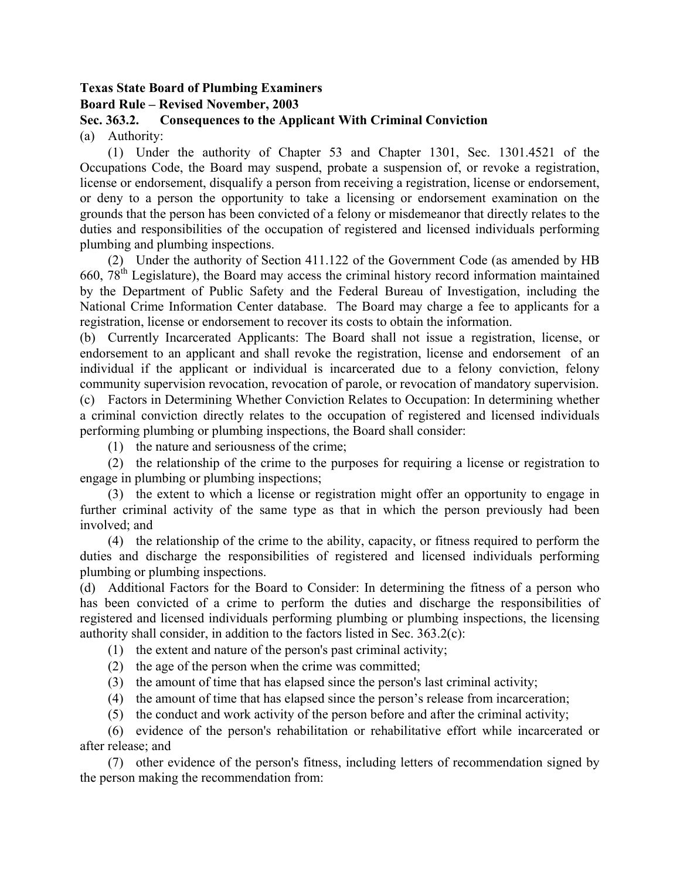## **Texas State Board of Plumbing Examiners Board Rule – Revised November, 2003**

## **Sec. 363.2. Consequences to the Applicant With Criminal Conviction**

(a) Authority:

 (1) Under the authority of Chapter 53 and Chapter 1301, Sec. 1301.4521 of the Occupations Code, the Board may suspend, probate a suspension of, or revoke a registration, license or endorsement, disqualify a person from receiving a registration, license or endorsement, or deny to a person the opportunity to take a licensing or endorsement examination on the grounds that the person has been convicted of a felony or misdemeanor that directly relates to the duties and responsibilities of the occupation of registered and licensed individuals performing plumbing and plumbing inspections.

 (2) Under the authority of Section 411.122 of the Government Code (as amended by HB 660,  $78<sup>th</sup>$  Legislature), the Board may access the criminal history record information maintained by the Department of Public Safety and the Federal Bureau of Investigation, including the National Crime Information Center database. The Board may charge a fee to applicants for a registration, license or endorsement to recover its costs to obtain the information.

(b) Currently Incarcerated Applicants: The Board shall not issue a registration, license, or endorsement to an applicant and shall revoke the registration, license and endorsement of an individual if the applicant or individual is incarcerated due to a felony conviction, felony community supervision revocation, revocation of parole, or revocation of mandatory supervision. (c) Factors in Determining Whether Conviction Relates to Occupation: In determining whether

a criminal conviction directly relates to the occupation of registered and licensed individuals performing plumbing or plumbing inspections, the Board shall consider:

(1) the nature and seriousness of the crime;

 (2) the relationship of the crime to the purposes for requiring a license or registration to engage in plumbing or plumbing inspections;

 (3) the extent to which a license or registration might offer an opportunity to engage in further criminal activity of the same type as that in which the person previously had been involved; and

 (4) the relationship of the crime to the ability, capacity, or fitness required to perform the duties and discharge the responsibilities of registered and licensed individuals performing plumbing or plumbing inspections.

(d) Additional Factors for the Board to Consider: In determining the fitness of a person who has been convicted of a crime to perform the duties and discharge the responsibilities of registered and licensed individuals performing plumbing or plumbing inspections, the licensing authority shall consider, in addition to the factors listed in Sec. 363.2(c):

(1) the extent and nature of the person's past criminal activity;

- (2) the age of the person when the crime was committed;
- (3) the amount of time that has elapsed since the person's last criminal activity;
- (4) the amount of time that has elapsed since the person's release from incarceration;
- (5) the conduct and work activity of the person before and after the criminal activity;

 (6) evidence of the person's rehabilitation or rehabilitative effort while incarcerated or after release; and

 (7) other evidence of the person's fitness, including letters of recommendation signed by the person making the recommendation from: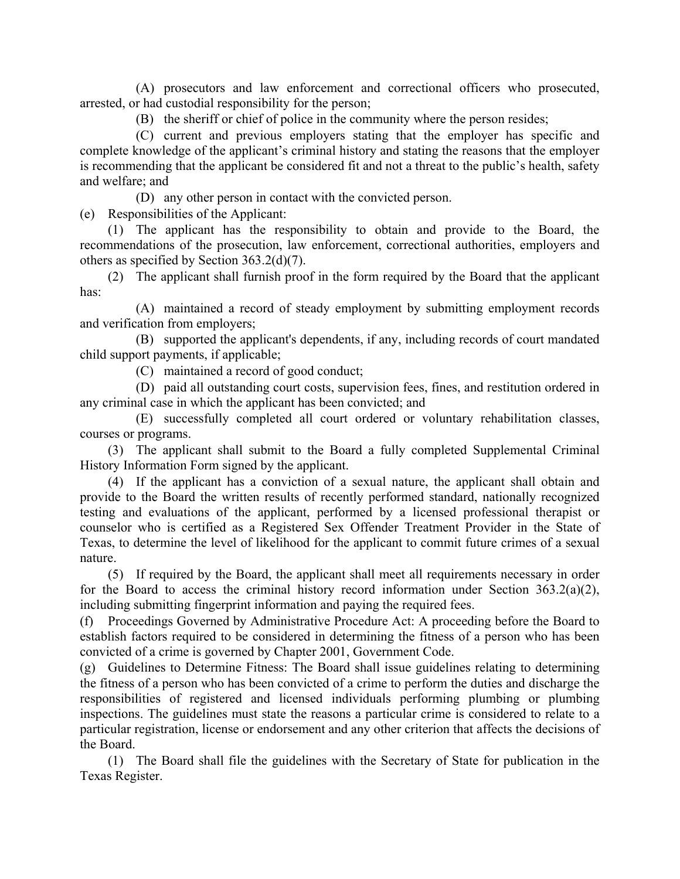(A) prosecutors and law enforcement and correctional officers who prosecuted, arrested, or had custodial responsibility for the person;

(B) the sheriff or chief of police in the community where the person resides;

 (C) current and previous employers stating that the employer has specific and complete knowledge of the applicant's criminal history and stating the reasons that the employer is recommending that the applicant be considered fit and not a threat to the public's health, safety and welfare; and

(D) any other person in contact with the convicted person.

(e) Responsibilities of the Applicant:

 (1) The applicant has the responsibility to obtain and provide to the Board, the recommendations of the prosecution, law enforcement, correctional authorities, employers and others as specified by Section 363.2(d)(7).

 (2) The applicant shall furnish proof in the form required by the Board that the applicant has:

 (A) maintained a record of steady employment by submitting employment records and verification from employers;

 (B) supported the applicant's dependents, if any, including records of court mandated child support payments, if applicable;

(C) maintained a record of good conduct;

 (D) paid all outstanding court costs, supervision fees, fines, and restitution ordered in any criminal case in which the applicant has been convicted; and

 (E) successfully completed all court ordered or voluntary rehabilitation classes, courses or programs.

 (3) The applicant shall submit to the Board a fully completed Supplemental Criminal History Information Form signed by the applicant.

 (4) If the applicant has a conviction of a sexual nature, the applicant shall obtain and provide to the Board the written results of recently performed standard, nationally recognized testing and evaluations of the applicant, performed by a licensed professional therapist or counselor who is certified as a Registered Sex Offender Treatment Provider in the State of Texas, to determine the level of likelihood for the applicant to commit future crimes of a sexual nature.

 (5) If required by the Board, the applicant shall meet all requirements necessary in order for the Board to access the criminal history record information under Section  $363.2(a)(2)$ , including submitting fingerprint information and paying the required fees.

(f) Proceedings Governed by Administrative Procedure Act: A proceeding before the Board to establish factors required to be considered in determining the fitness of a person who has been convicted of a crime is governed by Chapter 2001, Government Code.

(g) Guidelines to Determine Fitness: The Board shall issue guidelines relating to determining the fitness of a person who has been convicted of a crime to perform the duties and discharge the responsibilities of registered and licensed individuals performing plumbing or plumbing inspections. The guidelines must state the reasons a particular crime is considered to relate to a particular registration, license or endorsement and any other criterion that affects the decisions of the Board.

 (1) The Board shall file the guidelines with the Secretary of State for publication in the Texas Register.